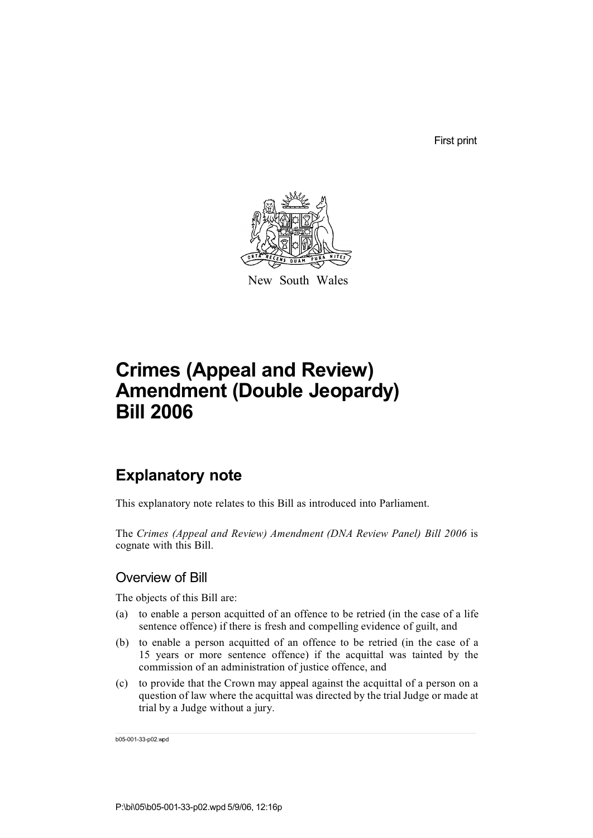First print



New South Wales

# **Crimes (Appeal and Review) Amendment (Double Jeopardy) Bill 2006**

## **Explanatory note**

This explanatory note relates to this Bill as introduced into Parliament.

The *Crimes (Appeal and Review) Amendment (DNA Review Panel) Bill 2006* is cognate with this Bill.

### Overview of Bill

The objects of this Bill are:

- (a) to enable a person acquitted of an offence to be retried (in the case of a life sentence offence) if there is fresh and compelling evidence of guilt, and
- (b) to enable a person acquitted of an offence to be retried (in the case of a 15 years or more sentence offence) if the acquittal was tainted by the commission of an administration of justice offence, and
- (c) to provide that the Crown may appeal against the acquittal of a person on a question of law where the acquittal was directed by the trial Judge or made at trial by a Judge without a jury.

b05-001-33-p02.wpd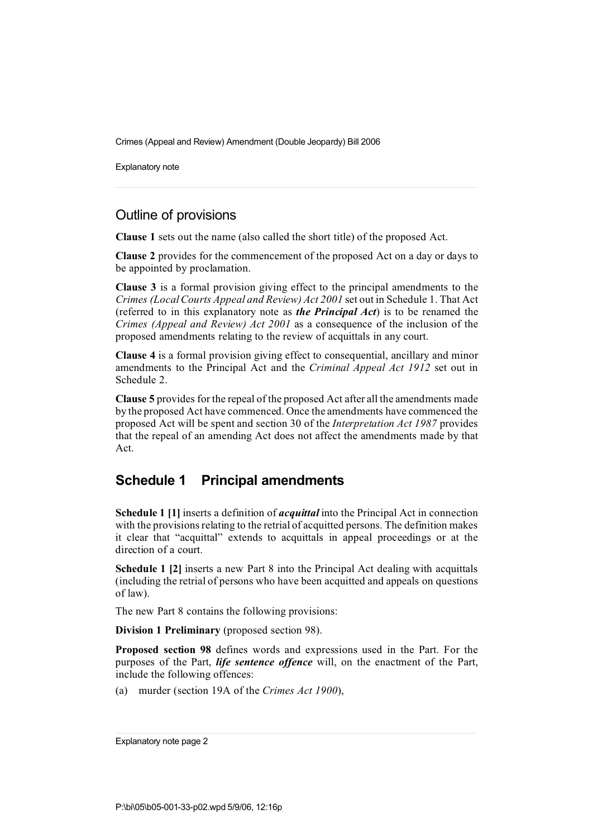Explanatory note

### Outline of provisions

**Clause 1** sets out the name (also called the short title) of the proposed Act.

**Clause 2** provides for the commencement of the proposed Act on a day or days to be appointed by proclamation.

**Clause 3** is a formal provision giving effect to the principal amendments to the *Crimes (LocalCourts Appeal and Review) Act 2001* set out in Schedule 1. That Act (referred to in this explanatory note as *the Principal Act*) is to be renamed the *Crimes (Appeal and Review) Act 2001* as a consequence of the inclusion of the proposed amendments relating to the review of acquittals in any court.

**Clause 4** is a formal provision giving effect to consequential, ancillary and minor amendments to the Principal Act and the *Criminal Appeal Act 1912* set out in Schedule 2.

**Clause 5** provides for the repeal of the proposed Act after all the amendments made by the proposed Act have commenced. Once the amendments have commenced the proposed Act will be spent and section 30 of the *Interpretation Act 1987* provides that the repeal of an amending Act does not affect the amendments made by that Act.

### **Schedule 1 Principal amendments**

**Schedule 1 [1]** inserts a definition of *acquittal* into the Principal Act in connection with the provisions relating to the retrial of acquitted persons. The definition makes it clear that "acquittal" extends to acquittals in appeal proceedings or at the direction of a court.

**Schedule 1 [2]** inserts a new Part 8 into the Principal Act dealing with acquittals (including the retrial of persons who have been acquitted and appeals on questions of law).

The new Part 8 contains the following provisions:

**Division 1 Preliminary** (proposed section 98).

**Proposed section 98** defines words and expressions used in the Part. For the purposes of the Part, *life sentence offence* will, on the enactment of the Part, include the following offences:

(a) murder (section 19A of the *Crimes Act 1900*),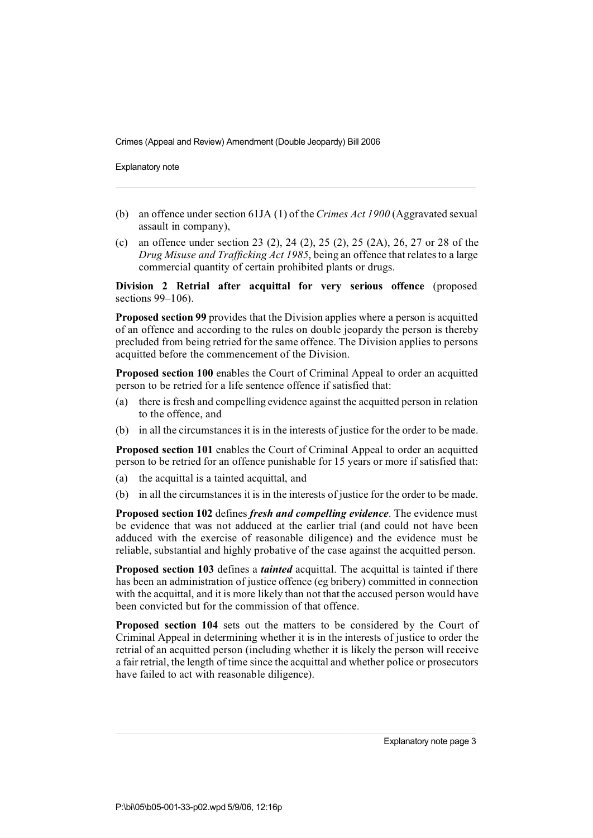Explanatory note

- (b) an offence under section 61JA (1) of the *Crimes Act 1900* (Aggravated sexual assault in company),
- (c) an offence under section 23 (2), 24 (2), 25 (2), 25 (2A), 26, 27 or 28 of the *Drug Misuse and Trafficking Act 1985*, being an offence that relatesto a large commercial quantity of certain prohibited plants or drugs.

**Division 2 Retrial after acquittal for very serious offence** (proposed sections 99–106).

**Proposed section 99** provides that the Division applies where a person is acquitted of an offence and according to the rules on double jeopardy the person is thereby precluded from being retried for the same offence. The Division applies to persons acquitted before the commencement of the Division.

**Proposed section 100** enables the Court of Criminal Appeal to order an acquitted person to be retried for a life sentence offence if satisfied that:

- (a) there is fresh and compelling evidence against the acquitted person in relation to the offence, and
- (b) in all the circumstances it is in the interests of justice for the order to be made.

**Proposed section 101** enables the Court of Criminal Appeal to order an acquitted person to be retried for an offence punishable for 15 years or more if satisfied that:

- (a) the acquittal is a tainted acquittal, and
- (b) in all the circumstances it is in the interests of justice for the order to be made.

**Proposed section 102** defines *fresh and compelling evidence*. The evidence must be evidence that was not adduced at the earlier trial (and could not have been adduced with the exercise of reasonable diligence) and the evidence must be reliable, substantial and highly probative of the case against the acquitted person.

**Proposed section 103** defines a *tainted* acquittal. The acquittal is tainted if there has been an administration of justice offence (eg bribery) committed in connection with the acquittal, and it is more likely than not that the accused person would have been convicted but for the commission of that offence.

**Proposed section 104** sets out the matters to be considered by the Court of Criminal Appeal in determining whether it is in the interests of justice to order the retrial of an acquitted person (including whether it is likely the person will receive a fair retrial, the length of time since the acquittal and whether police or prosecutors have failed to act with reasonable diligence).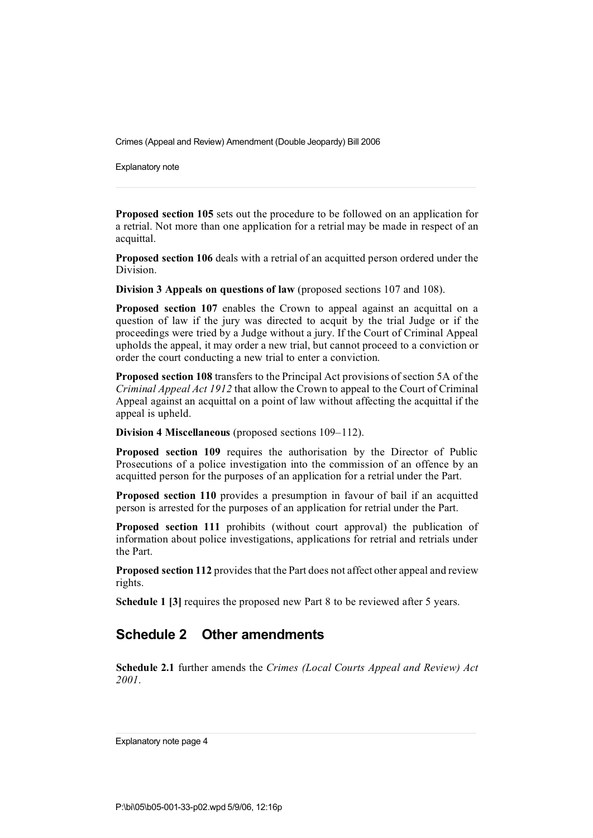Explanatory note

**Proposed section 105** sets out the procedure to be followed on an application for a retrial. Not more than one application for a retrial may be made in respect of an acquittal.

**Proposed section 106** deals with a retrial of an acquitted person ordered under the Division.

**Division 3 Appeals on questions of law** (proposed sections 107 and 108).

**Proposed section 107** enables the Crown to appeal against an acquittal on a question of law if the jury was directed to acquit by the trial Judge or if the proceedings were tried by a Judge without a jury. If the Court of Criminal Appeal upholds the appeal, it may order a new trial, but cannot proceed to a conviction or order the court conducting a new trial to enter a conviction.

**Proposed section 108** transfers to the Principal Act provisions of section 5A of the *Criminal Appeal Act 1912* that allow the Crown to appeal to the Court of Criminal Appeal against an acquittal on a point of law without affecting the acquittal if the appeal is upheld.

**Division 4 Miscellaneous** (proposed sections 109–112).

**Proposed section 109** requires the authorisation by the Director of Public Prosecutions of a police investigation into the commission of an offence by an acquitted person for the purposes of an application for a retrial under the Part.

**Proposed section 110** provides a presumption in favour of bail if an acquitted person is arrested for the purposes of an application for retrial under the Part.

**Proposed section 111** prohibits (without court approval) the publication of information about police investigations, applications for retrial and retrials under the Part.

**Proposed section 112** provides that the Part does not affect other appeal and review rights.

**Schedule 1 [3]** requires the proposed new Part 8 to be reviewed after 5 years.

### **Schedule 2 Other amendments**

**Schedule 2.1** further amends the *Crimes (Local Courts Appeal and Review) Act 2001*.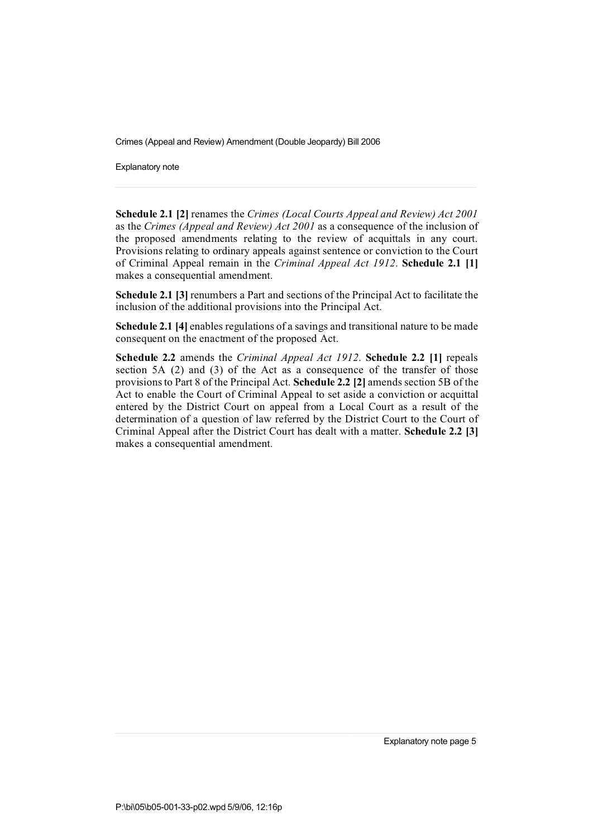Explanatory note

**Schedule 2.1 [2]** renames the *Crimes (Local Courts Appeal and Review) Act 2001* as the *Crimes (Appeal and Review) Act 2001* as a consequence of the inclusion of the proposed amendments relating to the review of acquittals in any court. Provisions relating to ordinary appeals against sentence or conviction to the Court of Criminal Appeal remain in the *Criminal Appeal Act 1912*. **Schedule 2.1 [1]** makes a consequential amendment.

**Schedule 2.1 [3]** renumbers a Part and sections of the Principal Act to facilitate the inclusion of the additional provisions into the Principal Act.

**Schedule 2.1 [4]** enables regulations of a savings and transitional nature to be made consequent on the enactment of the proposed Act.

**Schedule 2.2** amends the *Criminal Appeal Act 1912*. **Schedule 2.2 [1]** repeals section 5A (2) and (3) of the Act as a consequence of the transfer of those provisionsto Part 8 of the Principal Act. **Schedule 2.2 [2]** amends section 5B of the Act to enable the Court of Criminal Appeal to set aside a conviction or acquittal entered by the District Court on appeal from a Local Court as a result of the determination of a question of law referred by the District Court to the Court of Criminal Appeal after the District Court has dealt with a matter. **Schedule 2.2 [3]** makes a consequential amendment.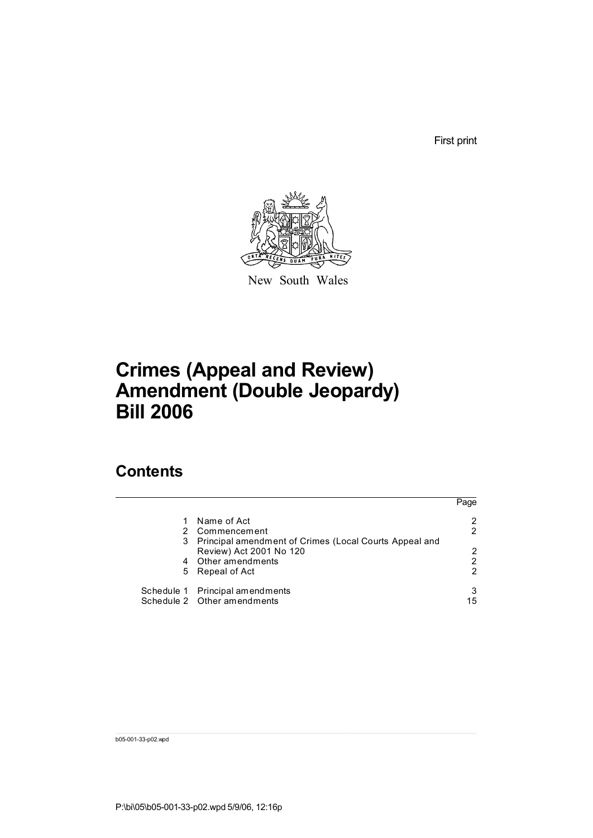First print



New South Wales

# **Crimes (Appeal and Review) Amendment (Double Jeopardy) Bill 2006**

## **Contents**

|                                                          | Page |
|----------------------------------------------------------|------|
| Name of Act                                              | 2    |
| 2 Commencement                                           | 2    |
| 3 Principal amendment of Crimes (Local Courts Appeal and |      |
| Review) Act 2001 No 120                                  | 2    |
| 4 Other amendments                                       | 2    |
| 5 Repeal of Act                                          | 2    |
| Schedule 1 Principal amendments                          | 3    |
| Schedule 2 Other amendments                              | 15   |

b05-001-33-p02.wpd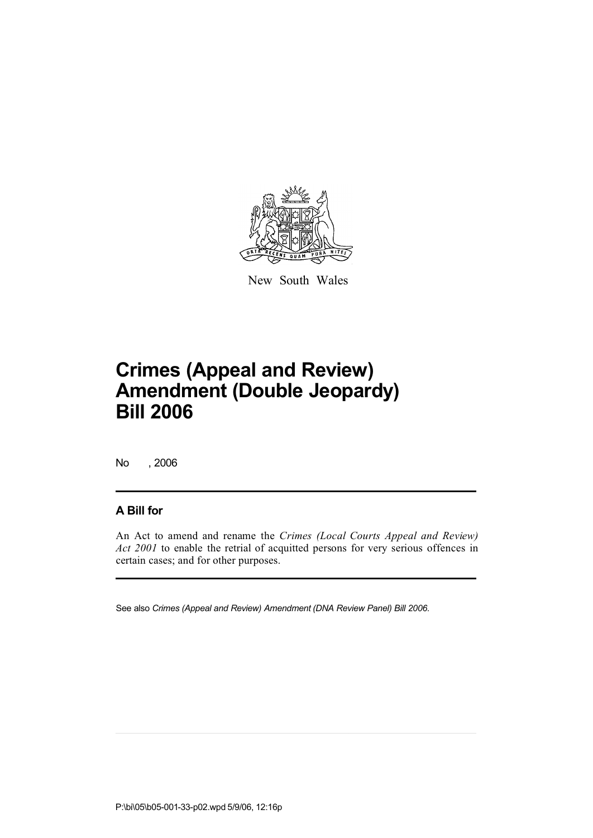

New South Wales

No , 2006

### **A Bill for**

An Act to amend and rename the *Crimes (Local Courts Appeal and Review) Act 2001* to enable the retrial of acquitted persons for very serious offences in certain cases; and for other purposes.

See also *Crimes (Appeal and Review) Amendment (DNA Review Panel) Bill 2006*.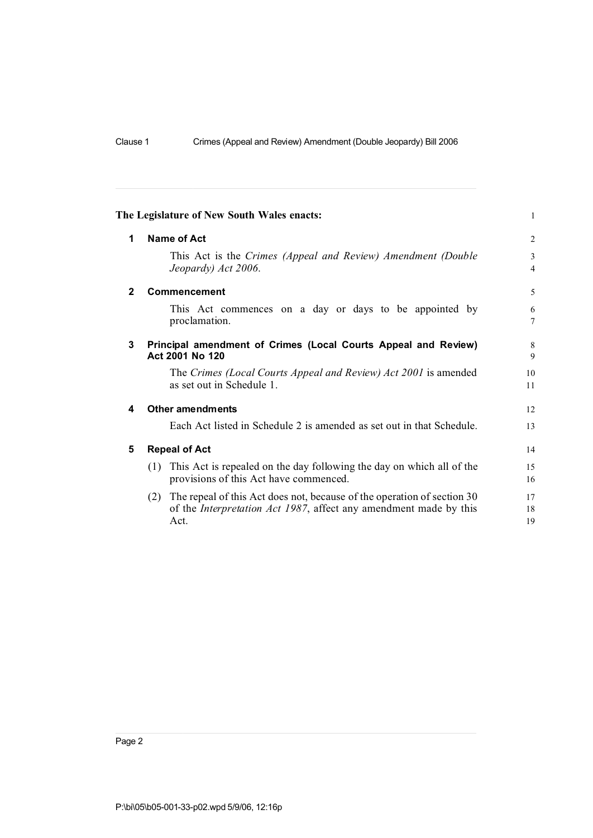|              | The Legislature of New South Wales enacts:                                                                                                                       | $\mathbf{1}$        |  |  |  |
|--------------|------------------------------------------------------------------------------------------------------------------------------------------------------------------|---------------------|--|--|--|
| 1            | <b>Name of Act</b>                                                                                                                                               | $\overline{2}$      |  |  |  |
|              | This Act is the Crimes (Appeal and Review) Amendment (Double<br>Jeopardy) Act 2006.                                                                              | 3<br>$\overline{4}$ |  |  |  |
| $\mathbf{2}$ | Commencement                                                                                                                                                     | 5                   |  |  |  |
|              | This Act commences on a day or days to be appointed by<br>proclamation.                                                                                          | 6<br>$\overline{7}$ |  |  |  |
| 3            | Principal amendment of Crimes (Local Courts Appeal and Review)<br>Act 2001 No 120                                                                                |                     |  |  |  |
|              | The Crimes (Local Courts Appeal and Review) Act 2001 is amended<br>as set out in Schedule 1.                                                                     | 10<br>11            |  |  |  |
| 4            | <b>Other amendments</b>                                                                                                                                          | 12                  |  |  |  |
|              | Each Act listed in Schedule 2 is amended as set out in that Schedule.                                                                                            | 13                  |  |  |  |
| 5            | <b>Repeal of Act</b>                                                                                                                                             | 14                  |  |  |  |
|              | This Act is repealed on the day following the day on which all of the<br>(1)<br>provisions of this Act have commenced.                                           | 15<br>16            |  |  |  |
|              | (2) The repeal of this Act does not, because of the operation of section 30<br>of the <i>Interpretation Act 1987</i> , affect any amendment made by this<br>Act. | 17<br>18<br>19      |  |  |  |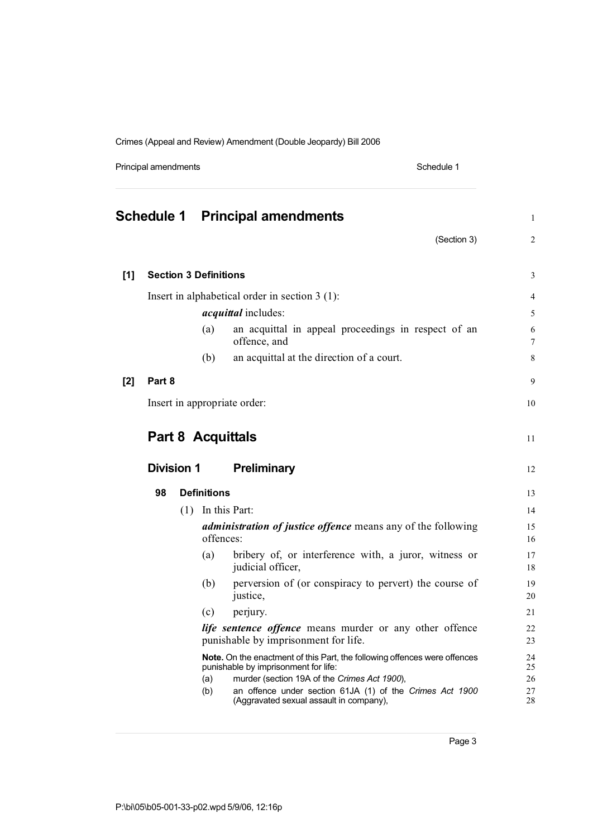Principal amendments **Schedule 1** and the set of the set of the Schedule 1

|       |                              |     |                    | <b>Schedule 1 Principal amendments</b>                                                                            | $\mathbf{1}$   |
|-------|------------------------------|-----|--------------------|-------------------------------------------------------------------------------------------------------------------|----------------|
|       |                              |     |                    | (Section 3)                                                                                                       | 2              |
| $[1]$ | <b>Section 3 Definitions</b> |     |                    |                                                                                                                   | 3              |
|       |                              |     |                    |                                                                                                                   |                |
|       |                              |     |                    | Insert in alphabetical order in section 3 (1):<br><i>acquittal</i> includes:                                      | $\overline{4}$ |
|       |                              |     |                    |                                                                                                                   | 5              |
|       |                              |     | (a)                | an acquittal in appeal proceedings in respect of an<br>offence, and                                               | 6<br>$\tau$    |
|       |                              |     | (b)                | an acquittal at the direction of a court.                                                                         | 8              |
| $[2]$ | Part 8                       |     |                    |                                                                                                                   | 9              |
|       |                              |     |                    | Insert in appropriate order:                                                                                      | 10             |
|       |                              |     |                    |                                                                                                                   |                |
|       |                              |     |                    | <b>Part 8 Acquittals</b>                                                                                          | 11             |
|       | <b>Division 1</b>            |     |                    | <b>Preliminary</b>                                                                                                | 12             |
|       | 98                           |     | <b>Definitions</b> |                                                                                                                   | 13             |
|       |                              | (1) |                    | In this Part:                                                                                                     | 14             |
|       |                              |     | offences:          | <i>administration of justice offence</i> means any of the following                                               | 15<br>16       |
|       |                              |     | (a)                | bribery of, or interference with, a juror, witness or<br>judicial officer,                                        | 17<br>18       |
|       |                              |     | (b)                | perversion of (or conspiracy to pervert) the course of<br>justice,                                                | 19<br>20       |
|       |                              |     | (c)                | perjury.                                                                                                          | 21             |
|       |                              |     |                    | life sentence offence means murder or any other offence<br>punishable by imprisonment for life.                   | 22<br>23       |
|       |                              |     |                    |                                                                                                                   |                |
|       |                              |     |                    | Note. On the enactment of this Part, the following offences were offences<br>punishable by imprisonment for life: | 24<br>25       |
|       |                              |     | (a)<br>(b)         | murder (section 19A of the Crimes Act 1900),<br>an offence under section 61JA (1) of the Crimes Act 1900          | 26             |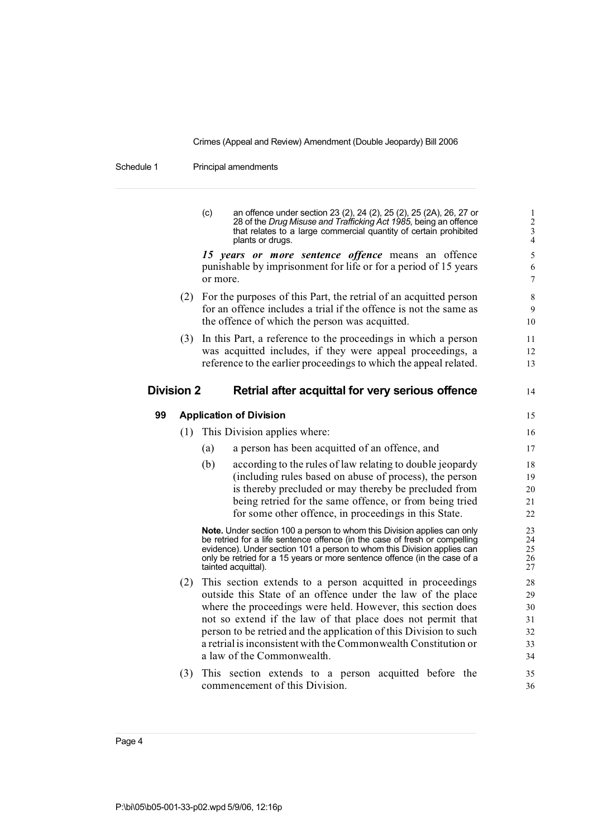Schedule 1 Principal amendments

|                   |     | (c)                            | an offence under section 23 (2), 24 (2), 25 (2), 25 (2A), 26, 27 or<br>28 of the Drug Misuse and Trafficking Act 1985, being an offence<br>that relates to a large commercial quantity of certain prohibited<br>plants or drugs.                                                                                                                                                                                             | $\mathbf{1}$<br>$\overline{c}$<br>$\frac{3}{4}$ |  |  |
|-------------------|-----|--------------------------------|------------------------------------------------------------------------------------------------------------------------------------------------------------------------------------------------------------------------------------------------------------------------------------------------------------------------------------------------------------------------------------------------------------------------------|-------------------------------------------------|--|--|
|                   |     | or more.                       | 15 years or more sentence offence means an offence<br>punishable by imprisonment for life or for a period of 15 years                                                                                                                                                                                                                                                                                                        | 5<br>6<br>$\boldsymbol{7}$                      |  |  |
|                   | (2) |                                | For the purposes of this Part, the retrial of an acquitted person<br>for an offence includes a trial if the offence is not the same as<br>the offence of which the person was acquitted.                                                                                                                                                                                                                                     | $\,$ 8 $\,$<br>9<br>10                          |  |  |
|                   | (3) |                                | In this Part, a reference to the proceedings in which a person<br>was acquitted includes, if they were appeal proceedings, a<br>reference to the earlier proceedings to which the appeal related.                                                                                                                                                                                                                            | 11<br>12<br>13                                  |  |  |
| <b>Division 2</b> |     |                                | Retrial after acquittal for very serious offence                                                                                                                                                                                                                                                                                                                                                                             | 14                                              |  |  |
| 99                |     | <b>Application of Division</b> |                                                                                                                                                                                                                                                                                                                                                                                                                              |                                                 |  |  |
|                   |     |                                | (1) This Division applies where:                                                                                                                                                                                                                                                                                                                                                                                             | 16                                              |  |  |
|                   |     | (a)                            | a person has been acquitted of an offence, and                                                                                                                                                                                                                                                                                                                                                                               | 17                                              |  |  |
|                   |     | (b)                            | according to the rules of law relating to double jeopardy<br>(including rules based on abuse of process), the person<br>is thereby precluded or may thereby be precluded from<br>being retried for the same offence, or from being tried<br>for some other offence, in proceedings in this State.                                                                                                                            | 18<br>19<br>20<br>21<br>22                      |  |  |
|                   |     |                                | Note. Under section 100 a person to whom this Division applies can only<br>be retried for a life sentence offence (in the case of fresh or compelling<br>evidence). Under section 101 a person to whom this Division applies can<br>only be retried for a 15 years or more sentence offence (in the case of a<br>tainted acquittal).                                                                                         | 23<br>24<br>25<br>26<br>27                      |  |  |
|                   | (2) |                                | This section extends to a person acquitted in proceedings<br>outside this State of an offence under the law of the place<br>where the proceedings were held. However, this section does<br>not so extend if the law of that place does not permit that<br>person to be retried and the application of this Division to such<br>a retrial is inconsistent with the Commonwealth Constitution or<br>a law of the Commonwealth. | 28<br>29<br>30<br>31<br>32<br>33<br>34          |  |  |
|                   | (3) |                                | This section extends to a person acquitted before the<br>commencement of this Division.                                                                                                                                                                                                                                                                                                                                      | 35<br>36                                        |  |  |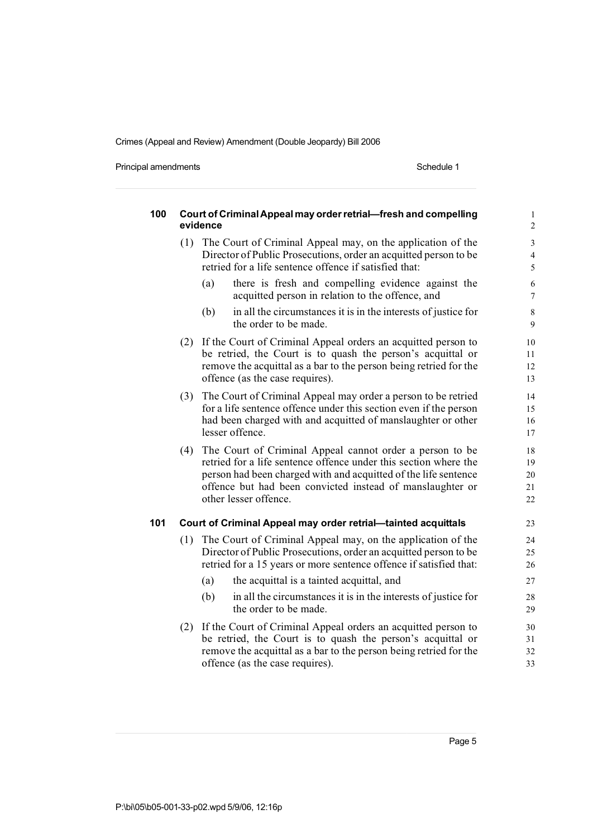Principal amendments **Schedule 1** Schedule 1

| 100 | Court of Criminal Appeal may order retrial-fresh and compelling<br>evidence |                                                                                                                                                                                                                                                                                       |                            |  |  |  |  |
|-----|-----------------------------------------------------------------------------|---------------------------------------------------------------------------------------------------------------------------------------------------------------------------------------------------------------------------------------------------------------------------------------|----------------------------|--|--|--|--|
|     | (1)                                                                         | The Court of Criminal Appeal may, on the application of the<br>Director of Public Prosecutions, order an acquitted person to be<br>retried for a life sentence offence if satisfied that:                                                                                             | $\mathfrak{Z}$<br>4<br>5   |  |  |  |  |
|     |                                                                             | there is fresh and compelling evidence against the<br>(a)<br>acquitted person in relation to the offence, and                                                                                                                                                                         | $\sqrt{6}$<br>$\tau$       |  |  |  |  |
|     |                                                                             | (b)<br>in all the circumstances it is in the interests of justice for<br>the order to be made.                                                                                                                                                                                        | 8<br>9                     |  |  |  |  |
|     | (2)                                                                         | If the Court of Criminal Appeal orders an acquitted person to<br>be retried, the Court is to quash the person's acquittal or<br>remove the acquittal as a bar to the person being retried for the<br>offence (as the case requires).                                                  | $10\,$<br>11<br>12<br>13   |  |  |  |  |
|     | (3)                                                                         | The Court of Criminal Appeal may order a person to be retried<br>for a life sentence offence under this section even if the person<br>had been charged with and acquitted of manslaughter or other<br>lesser offence.                                                                 | 14<br>15<br>16<br>17       |  |  |  |  |
|     | (4)                                                                         | The Court of Criminal Appeal cannot order a person to be<br>retried for a life sentence offence under this section where the<br>person had been charged with and acquitted of the life sentence<br>offence but had been convicted instead of manslaughter or<br>other lesser offence. | 18<br>19<br>20<br>21<br>22 |  |  |  |  |
| 101 |                                                                             | Court of Criminal Appeal may order retrial-tainted acquittals                                                                                                                                                                                                                         | 23                         |  |  |  |  |
|     | (1)                                                                         | The Court of Criminal Appeal may, on the application of the<br>Director of Public Prosecutions, order an acquitted person to be<br>retried for a 15 years or more sentence offence if satisfied that:                                                                                 | 24<br>25<br>26             |  |  |  |  |
|     |                                                                             | (a)<br>the acquittal is a tainted acquittal, and                                                                                                                                                                                                                                      | 27                         |  |  |  |  |
|     |                                                                             | (b)<br>in all the circumstances it is in the interests of justice for<br>the order to be made.                                                                                                                                                                                        | 28<br>29                   |  |  |  |  |
|     | (2)                                                                         | If the Court of Criminal Appeal orders an acquitted person to<br>be retried, the Court is to quash the person's acquittal or<br>remove the acquittal as a bar to the person being retried for the<br>offence (as the case requires).                                                  | 30<br>31<br>32<br>33       |  |  |  |  |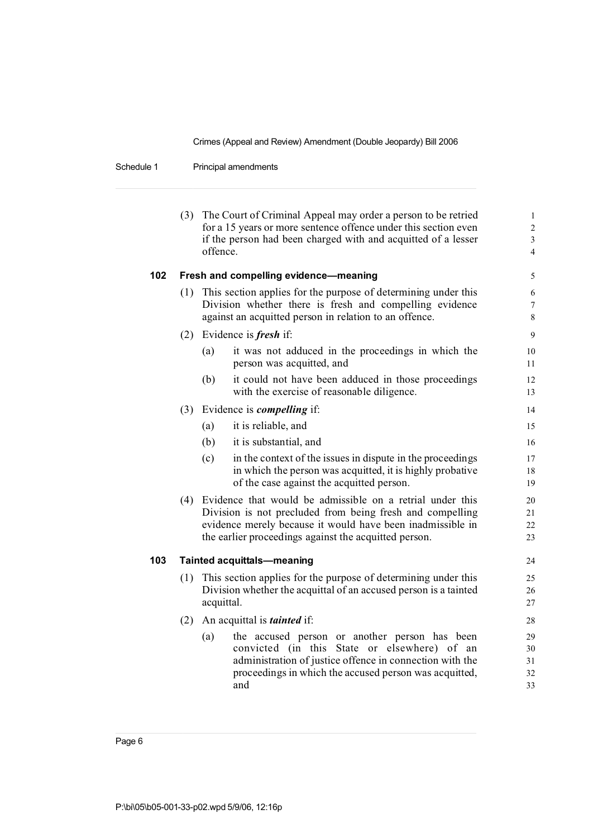Schedule 1 Principal amendments

|     |                                                                                                                                                                                                                                                   | (3) The Court of Criminal Appeal may order a person to be retried<br>for a 15 years or more sentence offence under this section even<br>if the person had been charged with and acquitted of a lesser<br>offence.                 | $\mathbf{1}$<br>$\overline{c}$<br>$\overline{\mathbf{3}}$<br>$\overline{\mathcal{L}}$ |  |  |  |
|-----|---------------------------------------------------------------------------------------------------------------------------------------------------------------------------------------------------------------------------------------------------|-----------------------------------------------------------------------------------------------------------------------------------------------------------------------------------------------------------------------------------|---------------------------------------------------------------------------------------|--|--|--|
| 102 |                                                                                                                                                                                                                                                   | Fresh and compelling evidence-meaning                                                                                                                                                                                             | 5                                                                                     |  |  |  |
|     | (1)                                                                                                                                                                                                                                               | This section applies for the purpose of determining under this<br>Division whether there is fresh and compelling evidence<br>against an acquitted person in relation to an offence.                                               | 6<br>$\overline{7}$<br>8                                                              |  |  |  |
|     | (2)                                                                                                                                                                                                                                               | Evidence is <i>fresh</i> if:                                                                                                                                                                                                      | 9                                                                                     |  |  |  |
|     |                                                                                                                                                                                                                                                   | it was not adduced in the proceedings in which the<br>(a)<br>person was acquitted, and                                                                                                                                            | 10<br>11                                                                              |  |  |  |
|     |                                                                                                                                                                                                                                                   | (b)<br>it could not have been adduced in those proceedings<br>with the exercise of reasonable diligence.                                                                                                                          | 12<br>13                                                                              |  |  |  |
|     | (3)                                                                                                                                                                                                                                               | Evidence is <i>compelling</i> if:                                                                                                                                                                                                 | 14                                                                                    |  |  |  |
|     |                                                                                                                                                                                                                                                   | it is reliable, and<br>(a)                                                                                                                                                                                                        | 15                                                                                    |  |  |  |
|     |                                                                                                                                                                                                                                                   | (b)<br>it is substantial, and                                                                                                                                                                                                     | 16                                                                                    |  |  |  |
|     |                                                                                                                                                                                                                                                   | (c)<br>in the context of the issues in dispute in the proceedings<br>in which the person was acquitted, it is highly probative<br>of the case against the acquitted person.                                                       | 17<br>18<br>19                                                                        |  |  |  |
|     | (4) Evidence that would be admissible on a retrial under this<br>Division is not precluded from being fresh and compelling<br>evidence merely because it would have been inadmissible in<br>the earlier proceedings against the acquitted person. |                                                                                                                                                                                                                                   |                                                                                       |  |  |  |
| 103 |                                                                                                                                                                                                                                                   | <b>Tainted acquittals-meaning</b>                                                                                                                                                                                                 | 24                                                                                    |  |  |  |
|     | (1)                                                                                                                                                                                                                                               | This section applies for the purpose of determining under this<br>Division whether the acquittal of an accused person is a tainted<br>acquittal.                                                                                  | 25<br>26<br>27                                                                        |  |  |  |
|     | (2)                                                                                                                                                                                                                                               | An acquittal is <i>tainted</i> if:                                                                                                                                                                                                | 28                                                                                    |  |  |  |
|     |                                                                                                                                                                                                                                                   | the accused person or another person has been<br>(a)<br>convicted (in this State or elsewhere) of an<br>administration of justice offence in connection with the<br>proceedings in which the accused person was acquitted,<br>and | 29<br>30<br>31<br>32<br>33                                                            |  |  |  |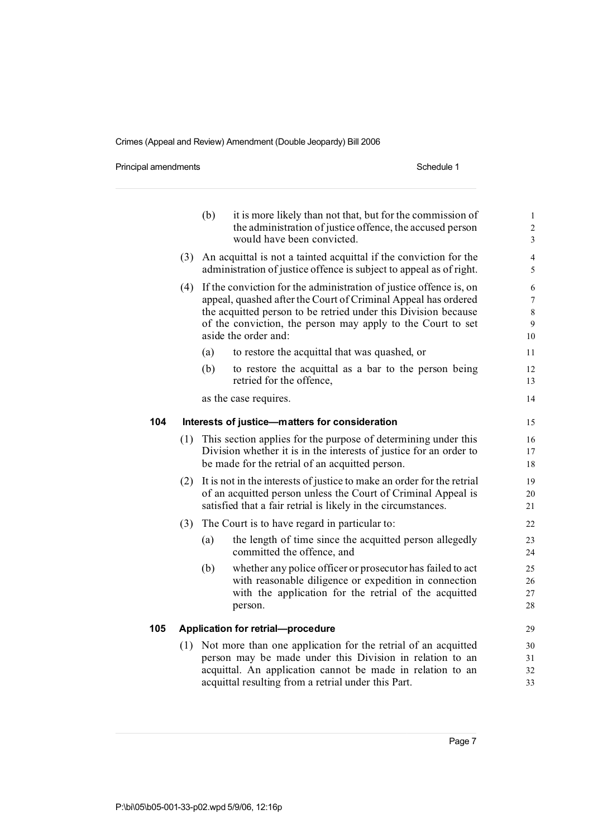Principal amendments **Schedule 1** Schedule 1

|     |                                                | (b) | it is more likely than not that, but for the commission of<br>the administration of justice offence, the accused person<br>would have been convicted.                                                                                                                                         | $\mathbf 1$<br>$\sqrt{2}$<br>$\mathfrak 3$      |  |  |
|-----|------------------------------------------------|-----|-----------------------------------------------------------------------------------------------------------------------------------------------------------------------------------------------------------------------------------------------------------------------------------------------|-------------------------------------------------|--|--|
|     | (3)                                            |     | An acquittal is not a tainted acquittal if the conviction for the<br>administration of justice offence is subject to appeal as of right.                                                                                                                                                      | $\overline{4}$<br>5                             |  |  |
|     | (4)                                            |     | If the conviction for the administration of justice offence is, on<br>appeal, quashed after the Court of Criminal Appeal has ordered<br>the acquitted person to be retried under this Division because<br>of the conviction, the person may apply to the Court to set<br>aside the order and: | 6<br>$\boldsymbol{7}$<br>$\,$ 8 $\,$<br>9<br>10 |  |  |
|     |                                                | (a) | to restore the acquittal that was quashed, or                                                                                                                                                                                                                                                 | 11                                              |  |  |
|     |                                                | (b) | to restore the acquittal as a bar to the person being<br>retried for the offence,                                                                                                                                                                                                             | 12<br>13                                        |  |  |
|     |                                                |     | as the case requires.                                                                                                                                                                                                                                                                         | 14                                              |  |  |
| 104 | Interests of justice-matters for consideration |     |                                                                                                                                                                                                                                                                                               |                                                 |  |  |
|     | (1)                                            |     | This section applies for the purpose of determining under this<br>Division whether it is in the interests of justice for an order to<br>be made for the retrial of an acquitted person.                                                                                                       | 16<br>17<br>18                                  |  |  |
|     | (2)                                            |     | It is not in the interests of justice to make an order for the retrial<br>of an acquitted person unless the Court of Criminal Appeal is<br>satisfied that a fair retrial is likely in the circumstances.                                                                                      | 19<br>20<br>21                                  |  |  |
|     | (3)                                            |     | The Court is to have regard in particular to:                                                                                                                                                                                                                                                 | 22                                              |  |  |
|     |                                                | (a) | the length of time since the acquitted person allegedly<br>committed the offence, and                                                                                                                                                                                                         | 23<br>24                                        |  |  |
|     |                                                | (b) | whether any police officer or prosecutor has failed to act<br>with reasonable diligence or expedition in connection<br>with the application for the retrial of the acquitted<br>person.                                                                                                       | 25<br>26<br>27<br>28                            |  |  |
| 105 |                                                |     | <b>Application for retrial-procedure</b>                                                                                                                                                                                                                                                      | 29                                              |  |  |
|     | (1)                                            |     | Not more than one application for the retrial of an acquitted<br>person may be made under this Division in relation to an                                                                                                                                                                     | 30<br>31                                        |  |  |
|     |                                                |     | acquittal. An application cannot be made in relation to an<br>acquittal resulting from a retrial under this Part.                                                                                                                                                                             | 32<br>33                                        |  |  |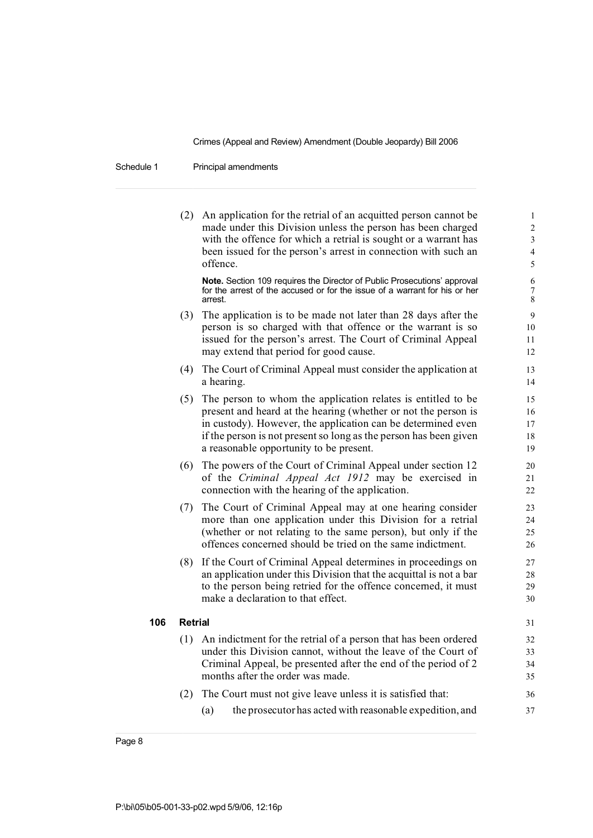Schedule 1 Principal amendments

|     | (2)     | An application for the retrial of an acquitted person cannot be<br>made under this Division unless the person has been charged<br>with the offence for which a retrial is sought or a warrant has<br>been issued for the person's arrest in connection with such an<br>offence.                                | 1<br>$\overline{\mathbf{c}}$<br>3<br>$\overline{\mathcal{L}}$<br>5 |
|-----|---------|----------------------------------------------------------------------------------------------------------------------------------------------------------------------------------------------------------------------------------------------------------------------------------------------------------------|--------------------------------------------------------------------|
|     |         | Note. Section 109 requires the Director of Public Prosecutions' approval<br>for the arrest of the accused or for the issue of a warrant for his or her<br>arrest.                                                                                                                                              | 6<br>7<br>8                                                        |
|     | (3)     | The application is to be made not later than 28 days after the<br>person is so charged with that offence or the warrant is so<br>issued for the person's arrest. The Court of Criminal Appeal<br>may extend that period for good cause.                                                                        | 9<br>10<br>11<br>12                                                |
|     | (4)     | The Court of Criminal Appeal must consider the application at<br>a hearing.                                                                                                                                                                                                                                    | 13<br>14                                                           |
|     | (5)     | The person to whom the application relates is entitled to be<br>present and heard at the hearing (whether or not the person is<br>in custody). However, the application can be determined even<br>if the person is not present so long as the person has been given<br>a reasonable opportunity to be present. | 15<br>16<br>17<br>18<br>19                                         |
|     | (6)     | The powers of the Court of Criminal Appeal under section 12<br>of the Criminal Appeal Act 1912 may be exercised in<br>connection with the hearing of the application.                                                                                                                                          | 20<br>21<br>22                                                     |
|     | (7)     | The Court of Criminal Appeal may at one hearing consider<br>more than one application under this Division for a retrial<br>(whether or not relating to the same person), but only if the<br>offences concerned should be tried on the same indictment.                                                         | 23<br>24<br>25<br>26                                               |
|     | (8)     | If the Court of Criminal Appeal determines in proceedings on<br>an application under this Division that the acquittal is not a bar<br>to the person being retried for the offence concerned, it must<br>make a declaration to that effect.                                                                     | 27<br>28<br>29<br>30                                               |
| 106 | Retrial |                                                                                                                                                                                                                                                                                                                | 31                                                                 |
|     |         | (1) An indictment for the retrial of a person that has been ordered<br>under this Division cannot, without the leave of the Court of<br>Criminal Appeal, be presented after the end of the period of 2<br>months after the order was made.                                                                     | 32<br>33<br>34<br>35                                               |
|     | (2)     | The Court must not give leave unless it is satisfied that:<br>the prosecutor has acted with reasonable expedition, and<br>(a)                                                                                                                                                                                  | 36<br>37                                                           |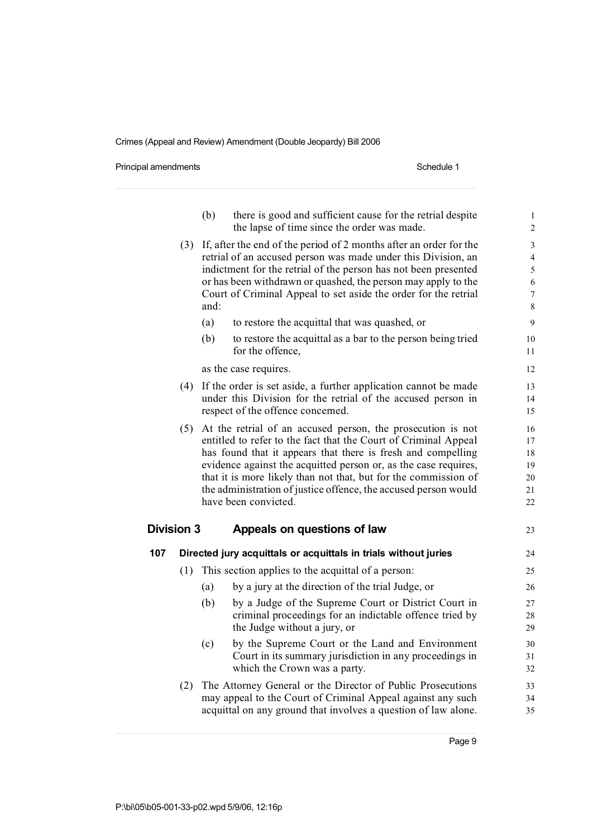Principal amendments **Schedule 1** and the set of the set of the Schedule 1

|                   |     | (b)  | there is good and sufficient cause for the retrial despite<br>the lapse of time since the order was made.                                                                                                                                                                                                                                                                                                                       | $\mathbf{1}$<br>$\overline{c}$                                 |
|-------------------|-----|------|---------------------------------------------------------------------------------------------------------------------------------------------------------------------------------------------------------------------------------------------------------------------------------------------------------------------------------------------------------------------------------------------------------------------------------|----------------------------------------------------------------|
|                   | (3) | and: | If, after the end of the period of 2 months after an order for the<br>retrial of an accused person was made under this Division, an<br>indictment for the retrial of the person has not been presented<br>or has been withdrawn or quashed, the person may apply to the<br>Court of Criminal Appeal to set aside the order for the retrial                                                                                      | 3<br>$\overline{\mathcal{L}}$<br>5<br>6<br>$\overline{7}$<br>8 |
|                   |     | (a)  | to restore the acquittal that was quashed, or                                                                                                                                                                                                                                                                                                                                                                                   | 9                                                              |
|                   |     | (b)  | to restore the acquittal as a bar to the person being tried<br>for the offence.                                                                                                                                                                                                                                                                                                                                                 | 10<br>11                                                       |
|                   |     |      | as the case requires.                                                                                                                                                                                                                                                                                                                                                                                                           | 12                                                             |
|                   | (4) |      | If the order is set aside, a further application cannot be made<br>under this Division for the retrial of the accused person in<br>respect of the offence concerned.                                                                                                                                                                                                                                                            | 13<br>14<br>15                                                 |
|                   | (5) |      | At the retrial of an accused person, the prosecution is not<br>entitled to refer to the fact that the Court of Criminal Appeal<br>has found that it appears that there is fresh and compelling<br>evidence against the acquitted person or, as the case requires,<br>that it is more likely than not that, but for the commission of<br>the administration of justice offence, the accused person would<br>have been convicted. | 16<br>17<br>18<br>19<br>20<br>21<br>22                         |
| <b>Division 3</b> |     |      | Appeals on questions of law                                                                                                                                                                                                                                                                                                                                                                                                     | 23                                                             |
| 107               |     |      | Directed jury acquittals or acquittals in trials without juries                                                                                                                                                                                                                                                                                                                                                                 | 24                                                             |
|                   | (1) |      | This section applies to the acquittal of a person:                                                                                                                                                                                                                                                                                                                                                                              | 25                                                             |
|                   |     | (a)  | by a jury at the direction of the trial Judge, or                                                                                                                                                                                                                                                                                                                                                                               | 26                                                             |
|                   |     | (b)  | by a Judge of the Supreme Court or District Court in<br>criminal proceedings for an indictable offence tried by<br>the Judge without a jury, or                                                                                                                                                                                                                                                                                 | 27<br>28<br>29                                                 |
|                   |     | (c)  | by the Supreme Court or the Land and Environment<br>Court in its summary jurisdiction in any proceedings in<br>which the Crown was a party.                                                                                                                                                                                                                                                                                     | 30<br>31<br>32                                                 |
|                   | (2) |      | The Attorney General or the Director of Public Prosecutions<br>may appeal to the Court of Criminal Appeal against any such<br>acquittal on any ground that involves a question of law alone.                                                                                                                                                                                                                                    | 33<br>34<br>35                                                 |
|                   |     |      |                                                                                                                                                                                                                                                                                                                                                                                                                                 |                                                                |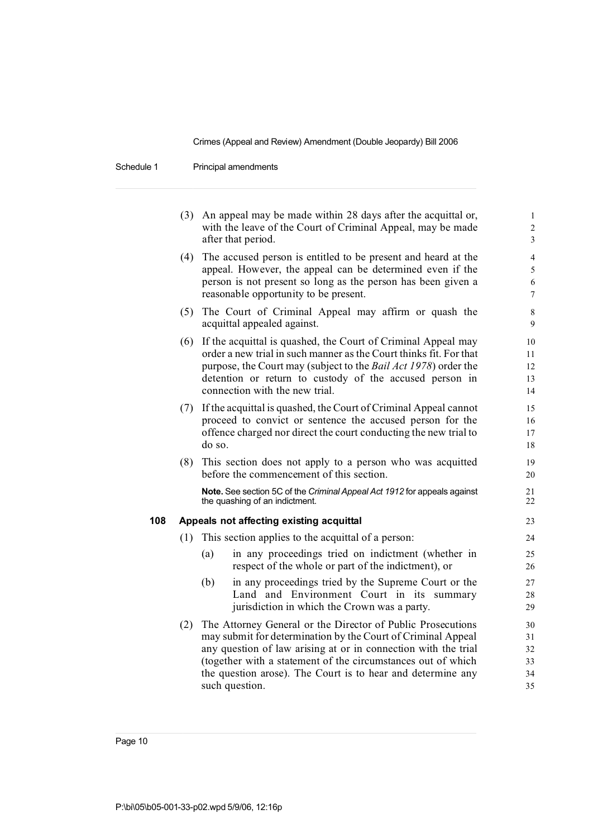Schedule 1 Principal amendments

|     |     | (3) An appeal may be made within 28 days after the acquittal or,<br>with the leave of the Court of Criminal Appeal, may be made<br>after that period.                                                                                                                                                                                          | $\mathbf{1}$<br>$\overline{c}$<br>3 |
|-----|-----|------------------------------------------------------------------------------------------------------------------------------------------------------------------------------------------------------------------------------------------------------------------------------------------------------------------------------------------------|-------------------------------------|
|     | (4) | The accused person is entitled to be present and heard at the<br>appeal. However, the appeal can be determined even if the<br>person is not present so long as the person has been given a<br>reasonable opportunity to be present.                                                                                                            | 4<br>5<br>6<br>$\overline{7}$       |
|     | (5) | The Court of Criminal Appeal may affirm or quash the<br>acquittal appealed against.                                                                                                                                                                                                                                                            | 8<br>9                              |
|     | (6) | If the acquittal is quashed, the Court of Criminal Appeal may<br>order a new trial in such manner as the Court thinks fit. For that<br>purpose, the Court may (subject to the Bail Act 1978) order the<br>detention or return to custody of the accused person in<br>connection with the new trial.                                            | 10<br>11<br>12<br>13<br>14          |
|     | (7) | If the acquittal is quashed, the Court of Criminal Appeal cannot<br>proceed to convict or sentence the accused person for the<br>offence charged nor direct the court conducting the new trial to<br>do so.                                                                                                                                    | 15<br>16<br>17<br>18                |
|     | (8) | This section does not apply to a person who was acquitted<br>before the commencement of this section.                                                                                                                                                                                                                                          | 19<br>20                            |
|     |     | Note. See section 5C of the Criminal Appeal Act 1912 for appeals against<br>the quashing of an indictment.                                                                                                                                                                                                                                     | 21<br>22                            |
| 108 |     | Appeals not affecting existing acquittal                                                                                                                                                                                                                                                                                                       | 23                                  |
|     | (1) | This section applies to the acquittal of a person:                                                                                                                                                                                                                                                                                             | 24                                  |
|     |     | in any proceedings tried on indictment (whether in<br>(a)<br>respect of the whole or part of the indictment), or                                                                                                                                                                                                                               | 25<br>26                            |
|     |     | (b)<br>in any proceedings tried by the Supreme Court or the<br>Land and Environment Court in its summary<br>jurisdiction in which the Crown was a party.                                                                                                                                                                                       | 27<br>28<br>29                      |
|     | (2) | The Attorney General or the Director of Public Prosecutions<br>may submit for determination by the Court of Criminal Appeal<br>any question of law arising at or in connection with the trial<br>(together with a statement of the circumstances out of which<br>the question arose). The Court is to hear and determine any<br>such question. | 30<br>31<br>32<br>33<br>34<br>35    |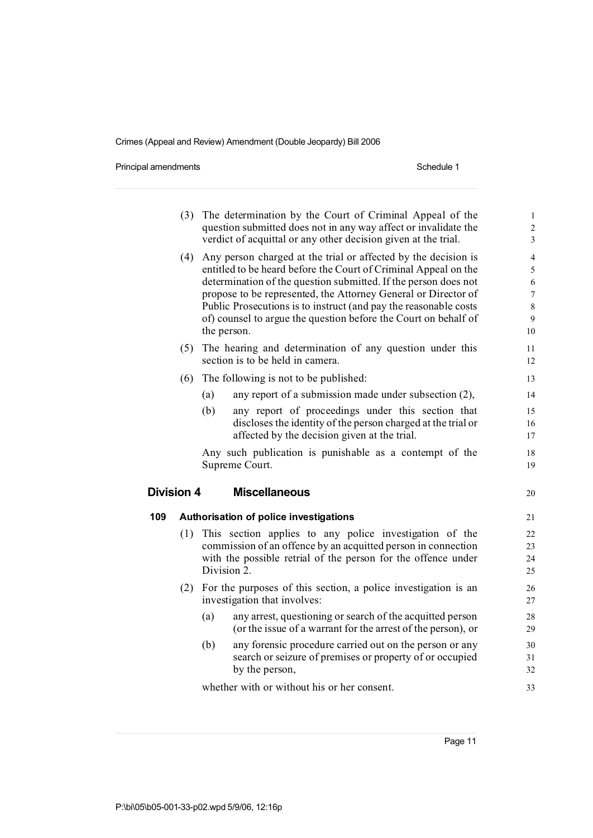Principal amendments **Schedule 1** Schedule 1

|            | (3) |     | The determination by the Court of Criminal Appeal of the<br>question submitted does not in any way affect or invalidate the<br>verdict of acquittal or any other decision given at the trial.                                                                                                                                                                                                                                | $\mathbf 1$<br>$\overline{c}$<br>3                         |
|------------|-----|-----|------------------------------------------------------------------------------------------------------------------------------------------------------------------------------------------------------------------------------------------------------------------------------------------------------------------------------------------------------------------------------------------------------------------------------|------------------------------------------------------------|
|            | (4) |     | Any person charged at the trial or affected by the decision is<br>entitled to be heard before the Court of Criminal Appeal on the<br>determination of the question submitted. If the person does not<br>propose to be represented, the Attorney General or Director of<br>Public Prosecutions is to instruct (and pay the reasonable costs<br>of) counsel to argue the question before the Court on behalf of<br>the person. | $\overline{4}$<br>5<br>6<br>$\overline{7}$<br>8<br>9<br>10 |
|            | (5) |     | The hearing and determination of any question under this<br>section is to be held in camera.                                                                                                                                                                                                                                                                                                                                 | 11<br>12                                                   |
|            | (6) |     | The following is not to be published:                                                                                                                                                                                                                                                                                                                                                                                        | 13                                                         |
|            |     | (a) | any report of a submission made under subsection (2),                                                                                                                                                                                                                                                                                                                                                                        | 14                                                         |
|            |     | (b) | any report of proceedings under this section that<br>discloses the identity of the person charged at the trial or<br>affected by the decision given at the trial.                                                                                                                                                                                                                                                            | 15<br>16<br>17                                             |
|            |     |     | Any such publication is punishable as a contempt of the<br>Supreme Court.                                                                                                                                                                                                                                                                                                                                                    | 18<br>19                                                   |
| Division 4 |     |     | <b>Miscellaneous</b>                                                                                                                                                                                                                                                                                                                                                                                                         | 20                                                         |
| 109        |     |     | Authorisation of police investigations                                                                                                                                                                                                                                                                                                                                                                                       | 21                                                         |
|            | (1) |     | This section applies to any police investigation of the<br>commission of an offence by an acquitted person in connection<br>with the possible retrial of the person for the offence under<br>Division 2.                                                                                                                                                                                                                     | 22<br>23<br>24<br>25                                       |
|            | (2) |     | For the purposes of this section, a police investigation is an<br>investigation that involves:                                                                                                                                                                                                                                                                                                                               | 26<br>27                                                   |
|            |     | (a) | any arrest, questioning or search of the acquitted person<br>(or the issue of a warrant for the arrest of the person), or                                                                                                                                                                                                                                                                                                    | 28<br>29                                                   |
|            |     | (b) | any forensic procedure carried out on the person or any<br>search or seizure of premises or property of or occupied<br>by the person,                                                                                                                                                                                                                                                                                        | 30<br>31<br>32                                             |
|            |     |     | whether with or without his or her consent.                                                                                                                                                                                                                                                                                                                                                                                  | 33                                                         |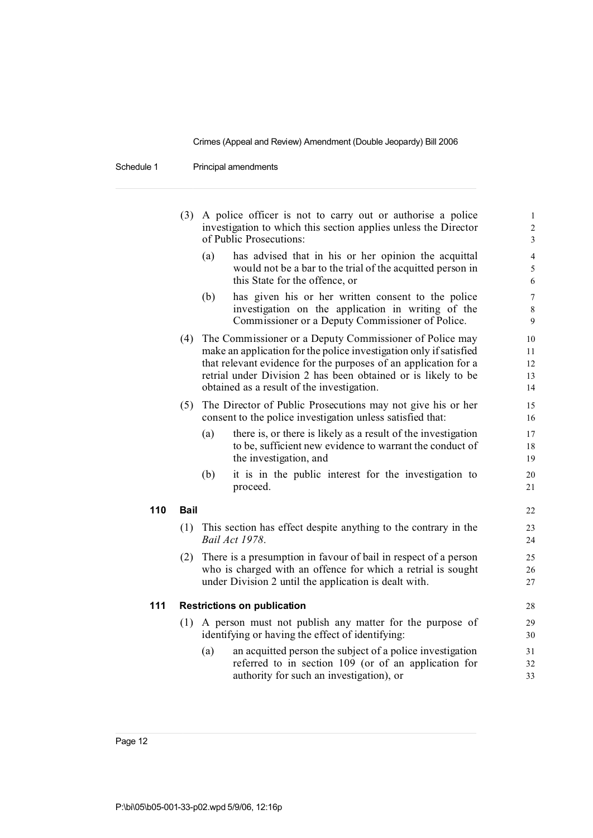Schedule 1 Principal amendments

|     | (3)         |     | A police officer is not to carry out or authorise a police<br>investigation to which this section applies unless the Director<br>of Public Prosecutions:                                                                                                                                                        | $\mathbf{1}$<br>$\sqrt{2}$<br>$\overline{\mathbf{3}}$ |
|-----|-------------|-----|-----------------------------------------------------------------------------------------------------------------------------------------------------------------------------------------------------------------------------------------------------------------------------------------------------------------|-------------------------------------------------------|
|     |             | (a) | has advised that in his or her opinion the acquittal<br>would not be a bar to the trial of the acquitted person in<br>this State for the offence, or                                                                                                                                                            | $\overline{4}$<br>5<br>6                              |
|     |             | (b) | has given his or her written consent to the police<br>investigation on the application in writing of the<br>Commissioner or a Deputy Commissioner of Police.                                                                                                                                                    | $\boldsymbol{7}$<br>$\,8\,$<br>$\mathbf{9}$           |
|     | (4)         |     | The Commissioner or a Deputy Commissioner of Police may<br>make an application for the police investigation only if satisfied<br>that relevant evidence for the purposes of an application for a<br>retrial under Division 2 has been obtained or is likely to be<br>obtained as a result of the investigation. | 10<br>11<br>12<br>13<br>14                            |
|     | (5)         |     | The Director of Public Prosecutions may not give his or her<br>consent to the police investigation unless satisfied that:                                                                                                                                                                                       | 15<br>16                                              |
|     |             | (a) | there is, or there is likely as a result of the investigation<br>to be, sufficient new evidence to warrant the conduct of<br>the investigation, and                                                                                                                                                             | 17<br>18<br>19                                        |
|     |             | (b) | it is in the public interest for the investigation to<br>proceed.                                                                                                                                                                                                                                               | 20<br>21                                              |
| 110 | <b>Bail</b> |     |                                                                                                                                                                                                                                                                                                                 | 22                                                    |
|     | (1)         |     | This section has effect despite anything to the contrary in the<br>Bail Act 1978.                                                                                                                                                                                                                               | 23<br>24                                              |
|     | (2)         |     | There is a presumption in favour of bail in respect of a person<br>who is charged with an offence for which a retrial is sought<br>under Division 2 until the application is dealt with.                                                                                                                        | 25<br>26<br>27                                        |
| 111 |             |     | <b>Restrictions on publication</b>                                                                                                                                                                                                                                                                              | 28                                                    |
|     |             |     | (1) A person must not publish any matter for the purpose of<br>identifying or having the effect of identifying:                                                                                                                                                                                                 | 29<br>30                                              |
|     |             | (a) | an acquitted person the subject of a police investigation<br>referred to in section 109 (or of an application for<br>authority for such an investigation), or                                                                                                                                                   | 31<br>32<br>33                                        |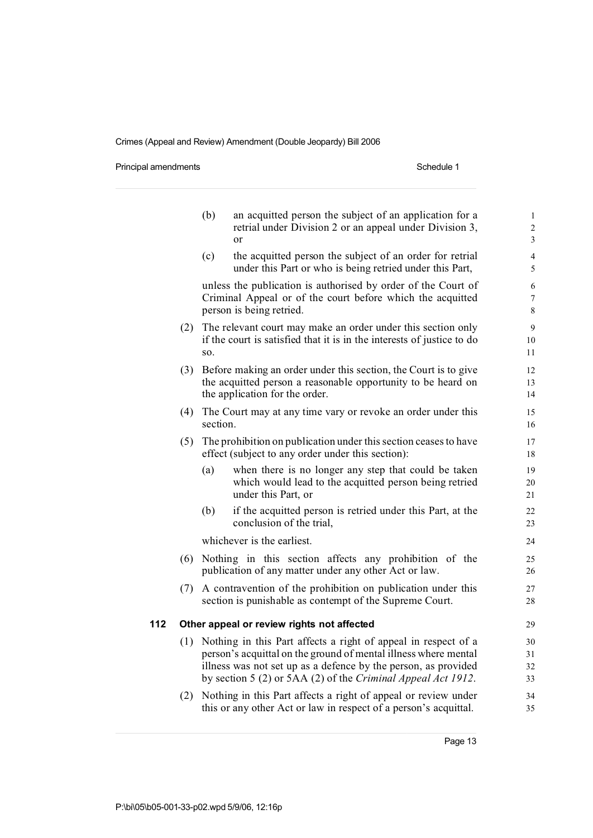Principal amendments **Schedule 1** Schedule 1

|     |     | (b)                                        | an acquitted person the subject of an application for a<br>retrial under Division 2 or an appeal under Division 3,<br>or                                                                                                                                                | $\mathbf{1}$<br>$\overline{c}$<br>3 |  |  |
|-----|-----|--------------------------------------------|-------------------------------------------------------------------------------------------------------------------------------------------------------------------------------------------------------------------------------------------------------------------------|-------------------------------------|--|--|
|     |     | (c)                                        | the acquitted person the subject of an order for retrial<br>under this Part or who is being retried under this Part,                                                                                                                                                    | $\overline{4}$<br>5                 |  |  |
|     |     |                                            | unless the publication is authorised by order of the Court of<br>Criminal Appeal or of the court before which the acquitted<br>person is being retried.                                                                                                                 | 6<br>$\overline{7}$<br>8            |  |  |
|     | (2) | SO.                                        | The relevant court may make an order under this section only<br>if the court is satisfied that it is in the interests of justice to do                                                                                                                                  | 9<br>10<br>11                       |  |  |
|     | (3) |                                            | Before making an order under this section, the Court is to give<br>the acquitted person a reasonable opportunity to be heard on<br>the application for the order.                                                                                                       | 12<br>13<br>14                      |  |  |
|     | (4) | section.                                   | The Court may at any time vary or revoke an order under this                                                                                                                                                                                                            | 15<br>16                            |  |  |
|     | (5) |                                            | The prohibition on publication under this section ceases to have<br>effect (subject to any order under this section):                                                                                                                                                   | 17<br>18                            |  |  |
|     |     | (a)                                        | when there is no longer any step that could be taken<br>which would lead to the acquitted person being retried<br>under this Part, or                                                                                                                                   | 19<br>20<br>21                      |  |  |
|     |     | (b)                                        | if the acquitted person is retried under this Part, at the<br>conclusion of the trial,                                                                                                                                                                                  | 22<br>23                            |  |  |
|     |     |                                            | whichever is the earliest.                                                                                                                                                                                                                                              | 24                                  |  |  |
|     | (6) |                                            | Nothing in this section affects any prohibition of the<br>publication of any matter under any other Act or law.                                                                                                                                                         | 25<br>26                            |  |  |
|     | (7) |                                            | A contravention of the prohibition on publication under this<br>section is punishable as contempt of the Supreme Court.                                                                                                                                                 | 27<br>28                            |  |  |
| 112 |     | Other appeal or review rights not affected |                                                                                                                                                                                                                                                                         |                                     |  |  |
|     |     |                                            | (1) Nothing in this Part affects a right of appeal in respect of a<br>person's acquittal on the ground of mental illness where mental<br>illness was not set up as a defence by the person, as provided<br>by section 5 (2) or 5AA (2) of the Criminal Appeal Act 1912. | 30<br>31<br>32<br>33                |  |  |
|     | (2) |                                            | Nothing in this Part affects a right of appeal or review under<br>this or any other Act or law in respect of a person's acquittal.                                                                                                                                      | 34<br>35                            |  |  |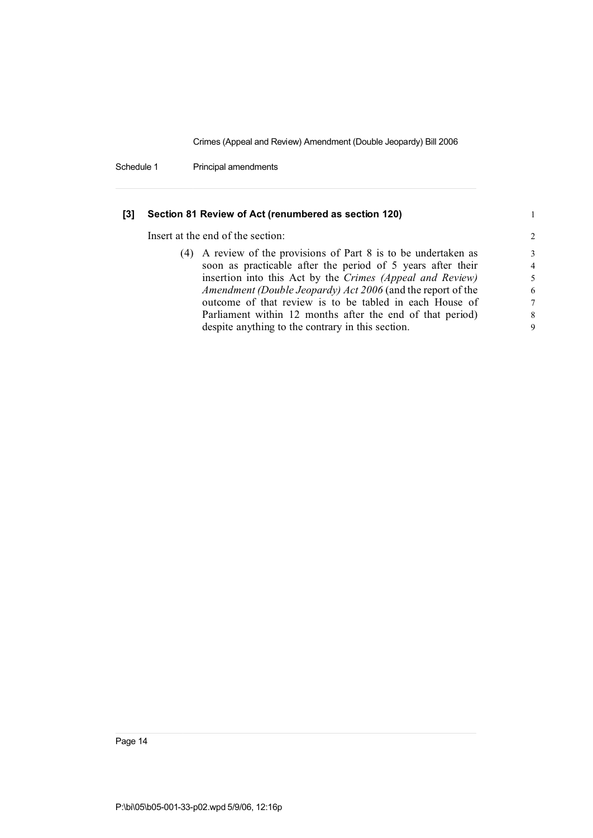Schedule 1 Principal amendments

### **[3] Section 81 Review of Act (renumbered as section 120)** 1

Insert at the end of the section: 2

| (4) A review of the provisions of Part 8 is to be undertaken as | 3              |
|-----------------------------------------------------------------|----------------|
| soon as practicable after the period of 5 years after their     | $\overline{4}$ |
| insertion into this Act by the Crimes (Appeal and Review)       | .5             |
| Amendment (Double Jeopardy) Act 2006 (and the report of the     | 6              |
| outcome of that review is to be tabled in each House of         | 7              |
| Parliament within 12 months after the end of that period)       | -8             |
| despite anything to the contrary in this section.               | 9              |
|                                                                 |                |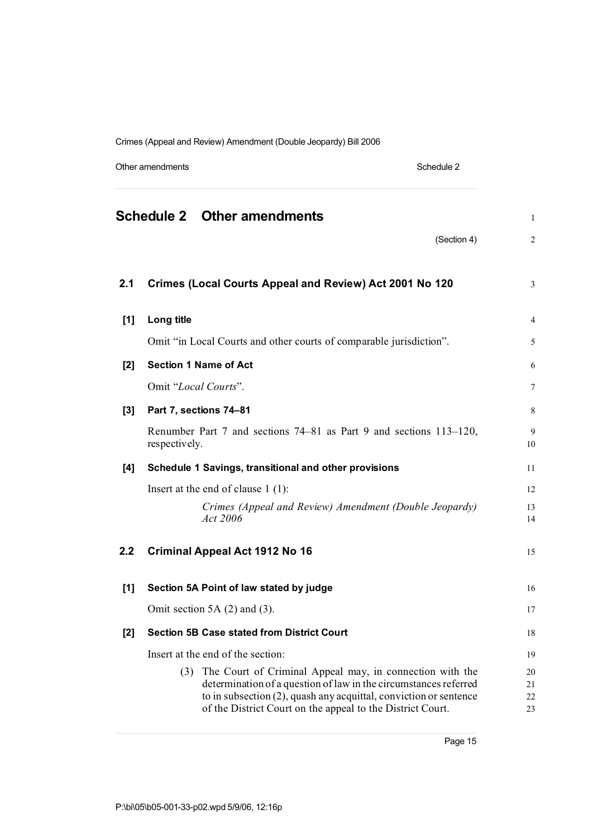Other amendments Schedule 2

|       | <b>Schedule 2 Other amendments</b>                                                                                                                                                                                                                                  | $\mathbf{1}$         |  |
|-------|---------------------------------------------------------------------------------------------------------------------------------------------------------------------------------------------------------------------------------------------------------------------|----------------------|--|
|       | (Section 4)                                                                                                                                                                                                                                                         | $\overline{2}$       |  |
| 2.1   | Crimes (Local Courts Appeal and Review) Act 2001 No 120                                                                                                                                                                                                             | 3                    |  |
| $[1]$ | Long title                                                                                                                                                                                                                                                          | $\overline{4}$       |  |
|       | Omit "in Local Courts and other courts of comparable jurisdiction".                                                                                                                                                                                                 | 5                    |  |
| [2]   | <b>Section 1 Name of Act</b>                                                                                                                                                                                                                                        | 6                    |  |
|       | Omit "Local Courts".                                                                                                                                                                                                                                                | 7                    |  |
| $[3]$ | Part 7, sections 74-81                                                                                                                                                                                                                                              | 8                    |  |
|       | Renumber Part 7 and sections 74–81 as Part 9 and sections 113–120,<br>respectively.                                                                                                                                                                                 | 9<br>10              |  |
| [4]   | Schedule 1 Savings, transitional and other provisions                                                                                                                                                                                                               | 11                   |  |
|       | Insert at the end of clause $1(1)$ :                                                                                                                                                                                                                                | 12                   |  |
|       | Crimes (Appeal and Review) Amendment (Double Jeopardy)<br>Act 2006                                                                                                                                                                                                  | 13<br>14             |  |
| 2.2   | <b>Criminal Appeal Act 1912 No 16</b>                                                                                                                                                                                                                               | 15                   |  |
| $[1]$ | Section 5A Point of law stated by judge                                                                                                                                                                                                                             | 16                   |  |
|       | Omit section 5A $(2)$ and $(3)$ .                                                                                                                                                                                                                                   | 17                   |  |
| [2]   | <b>Section 5B Case stated from District Court</b>                                                                                                                                                                                                                   | 18                   |  |
|       | Insert at the end of the section:                                                                                                                                                                                                                                   |                      |  |
|       | (3) The Court of Criminal Appeal may, in connection with the<br>determination of a question of law in the circumstances referred<br>to in subsection (2), quash any acquittal, conviction or sentence<br>of the District Court on the appeal to the District Court. | 20<br>21<br>22<br>23 |  |